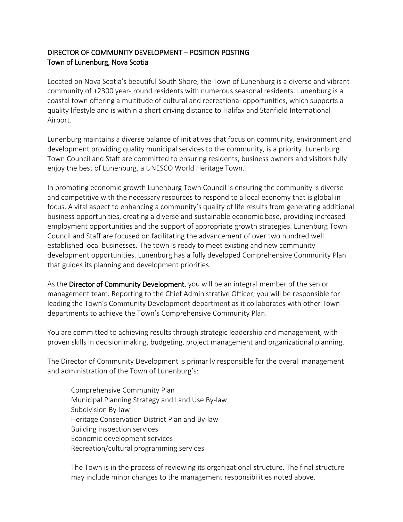## DIRECTOR OF COMMUNITY DEVELOPMENT – POSITION POSTING Town of Lunenburg, Nova Scotia

Located on Nova Scotia's beautiful South Shore, the Town of Lunenburg is a diverse and vibrant community of +2300 year- round residents with numerous seasonal residents. Lunenburg is a coastal town offering a multitude of cultural and recreational opportunities, which supports a quality lifestyle and is within a short driving distance to Halifax and Stanfield International Airport.

Lunenburg maintains a diverse balance of initiatives that focus on community, environment and development providing quality municipal services to the community, is a priority. Lunenburg Town Council and Staff are committed to ensuring residents, business owners and visitors fully enjoy the best of Lunenburg, a UNESCO World Heritage Town.

In promoting economic growth Lunenburg Town Council is ensuring the community is diverse and competitive with the necessary resources to respond to a local economy that is global in focus. A vital aspect to enhancing a community's quality of life results from generating additional business opportunities, creating a diverse and sustainable economic base, providing increased employment opportunities and the support of appropriate growth strategies. Lunenburg Town Council and Staff are focused on facilitating the advancement of over two hundred well established local businesses. The town is ready to meet existing and new community development opportunities. Lunenburg has a fully developed Comprehensive Community Plan that guides its planning and development priorities.

As the Director of Community Development, you will be an integral member of the senior management team. Reporting to the Chief Administrative Officer, you will be responsible for leading the Town's Community Development department as it collaborates with other Town departments to achieve the Town's Comprehensive Community Plan.

You are committed to achieving results through strategic leadership and management, with proven skills in decision making, budgeting, project management and organizational planning.

The Director of Community Development is primarily responsible for the overall management and administration of the Town of Lunenburg's:

Comprehensive Community Plan Municipal Planning Strategy and Land Use By-law Subdivision By-law Heritage Conservation District Plan and By-law Building inspection services Economic development services Recreation/cultural programming services

The Town is in the process of reviewing its organizational structure. The final structure may include minor changes to the management responsibilities noted above.